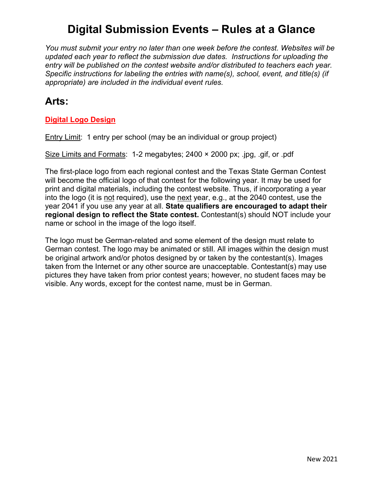# **Digital Submission Events – Rules at a Glance**

*You must submit your entry no later than one week before the contest. Websites will be updated each year to reflect the submission due dates. Instructions for uploading the entry will be published on the contest website and/or distributed to teachers each year. Specific instructions for labeling the entries with name(s), school, event, and title(s) (if appropriate) are included in the individual event rules.*

# **Arts:**

## **Digital Logo Design**

Entry Limit: 1 entry per school (may be an individual or group project)

Size Limits and Formats: 1-2 megabytes; 2400 × 2000 px; .jpg, .gif, or .pdf

The first-place logo from each regional contest and the Texas State German Contest will become the official logo of that contest for the following year. It may be used for print and digital materials, including the contest website. Thus, if incorporating a year into the logo (it is not required), use the next year, e.g., at the 2040 contest, use the year 2041 if you use any year at all. **State qualifiers are encouraged to adapt their regional design to reflect the State contest.** Contestant(s) should NOT include your name or school in the image of the logo itself.

The logo must be German-related and some element of the design must relate to German contest. The logo may be animated or still. All images within the design must be original artwork and/or photos designed by or taken by the contestant(s). Images taken from the Internet or any other source are unacceptable. Contestant(s) may use pictures they have taken from prior contest years; however, no student faces may be visible. Any words, except for the contest name, must be in German.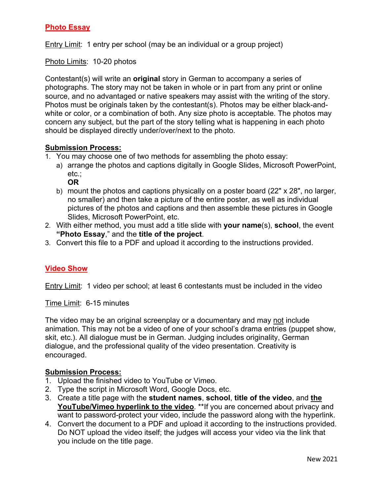# **Photo Essay**

Entry Limit: 1 entry per school (may be an individual or a group project)

Photo Limits: 10-20 photos

Contestant(s) will write an **original** story in German to accompany a series of photographs. The story may not be taken in whole or in part from any print or online source, and no advantaged or native speakers may assist with the writing of the story. Photos must be originals taken by the contestant(s). Photos may be either black-andwhite or color, or a combination of both. Any size photo is acceptable. The photos may concern any subject, but the part of the story telling what is happening in each photo should be displayed directly under/over/next to the photo.

#### **Submission Process:**

- 1. You may choose one of two methods for assembling the photo essay:
	- a) arrange the photos and captions digitally in Google Slides, Microsoft PowerPoint, etc.;
		- **OR**
	- b) mount the photos and captions physically on a poster board (22" x 28", no larger, no smaller) and then take a picture of the entire poster, as well as individual pictures of the photos and captions and then assemble these pictures in Google Slides, Microsoft PowerPoint, etc.
- 2. With either method, you must add a title slide with **your name**(s), **school**, the event **"Photo Essay**," and the **title of the project**.
- 3. Convert this file to a PDF and upload it according to the instructions provided.

#### **Video Show**

Entry Limit: 1 video per school; at least 6 contestants must be included in the video

Time Limit: 6-15 minutes

The video may be an original screenplay or a documentary and may not include animation. This may not be a video of one of your school's drama entries (puppet show, skit, etc.). All dialogue must be in German. Judging includes originality, German dialogue, and the professional quality of the video presentation. Creativity is encouraged.

- 1. Upload the finished video to YouTube or Vimeo.
- 2. Type the script in Microsoft Word, Google Docs, etc.
- 3. Create a title page with the **student names**, **school**, **title of the video**, and **the YouTube/Vimeo hyperlink to the video**. \*\*If you are concerned about privacy and want to password-protect your video, include the password along with the hyperlink.
- 4. Convert the document to a PDF and upload it according to the instructions provided. Do NOT upload the video itself; the judges will access your video via the link that you include on the title page.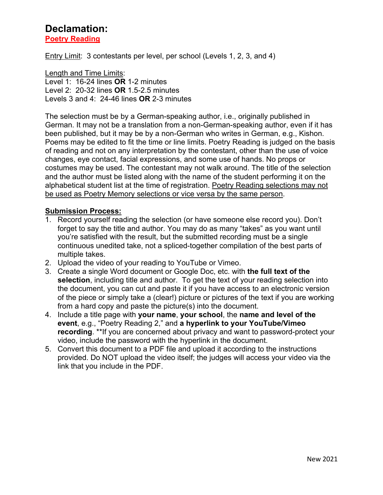# **Declamation:**

**Poetry Reading**

Entry Limit: 3 contestants per level, per school (Levels 1, 2, 3, and 4)

Length and Time Limits: Level 1: 16-24 lines **OR** 1-2 minutes Level 2: 20-32 lines **OR** 1.5-2.5 minutes Levels 3 and 4: 24-46 lines **OR** 2-3 minutes

The selection must be by a German-speaking author, i.e., originally published in German. It may not be a translation from a non-German-speaking author, even if it has been published, but it may be by a non-German who writes in German, e.g., Kishon. Poems may be edited to fit the time or line limits. Poetry Reading is judged on the basis of reading and not on any interpretation by the contestant, other than the use of voice changes, eye contact, facial expressions, and some use of hands. No props or costumes may be used. The contestant may not walk around. The title of the selection and the author must be listed along with the name of the student performing it on the alphabetical student list at the time of registration. Poetry Reading selections may not be used as Poetry Memory selections or vice versa by the same person.

- 1. Record yourself reading the selection (or have someone else record you). Don't forget to say the title and author. You may do as many "takes" as you want until you're satisfied with the result, but the submitted recording must be a single continuous unedited take, not a spliced-together compilation of the best parts of multiple takes.
- 2. Upload the video of your reading to YouTube or Vimeo.
- 3. Create a single Word document or Google Doc, etc. with **the full text of the selection**, including title and author. To get the text of your reading selection into the document, you can cut and paste it if you have access to an electronic version of the piece or simply take a (clear!) picture or pictures of the text if you are working from a hard copy and paste the picture(s) into the document.
- 4. Include a title page with **your name**, **your school**, the **name and level of the event**, e.g., "Poetry Reading 2," and **a hyperlink to your YouTube/Vimeo recording**. \*\*If you are concerned about privacy and want to password-protect your video, include the password with the hyperlink in the document.
- 5. Convert this document to a PDF file and upload it according to the instructions provided. Do NOT upload the video itself; the judges will access your video via the link that you include in the PDF.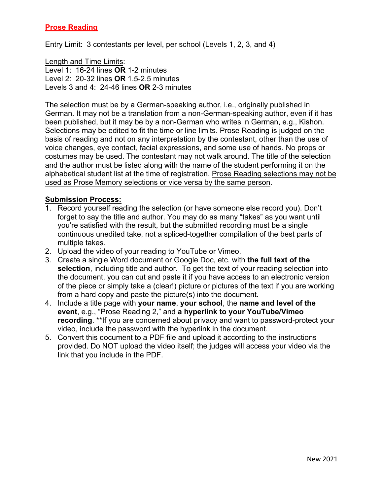## **Prose Reading**

Entry Limit: 3 contestants per level, per school (Levels 1, 2, 3, and 4)

Length and Time Limits: Level 1: 16-24 lines **OR** 1-2 minutes Level 2: 20-32 lines **OR** 1.5-2.5 minutes Levels 3 and 4: 24-46 lines **OR** 2-3 minutes

The selection must be by a German-speaking author, i.e., originally published in German. It may not be a translation from a non-German-speaking author, even if it has been published, but it may be by a non-German who writes in German, e.g., Kishon. Selections may be edited to fit the time or line limits. Prose Reading is judged on the basis of reading and not on any interpretation by the contestant, other than the use of voice changes, eye contact, facial expressions, and some use of hands. No props or costumes may be used. The contestant may not walk around. The title of the selection and the author must be listed along with the name of the student performing it on the alphabetical student list at the time of registration. Prose Reading selections may not be used as Prose Memory selections or vice versa by the same person.

- 1. Record yourself reading the selection (or have someone else record you). Don't forget to say the title and author. You may do as many "takes" as you want until you're satisfied with the result, but the submitted recording must be a single continuous unedited take, not a spliced-together compilation of the best parts of multiple takes.
- 2. Upload the video of your reading to YouTube or Vimeo.
- 3. Create a single Word document or Google Doc, etc. with **the full text of the selection**, including title and author. To get the text of your reading selection into the document, you can cut and paste it if you have access to an electronic version of the piece or simply take a (clear!) picture or pictures of the text if you are working from a hard copy and paste the picture(s) into the document.
- 4. Include a title page with **your name**, **your school**, the **name and level of the event**, e.g., "Prose Reading 2," and **a hyperlink to your YouTube/Vimeo recording**. \*\*If you are concerned about privacy and want to password-protect your video, include the password with the hyperlink in the document.
- 5. Convert this document to a PDF file and upload it according to the instructions provided. Do NOT upload the video itself; the judges will access your video via the link that you include in the PDF.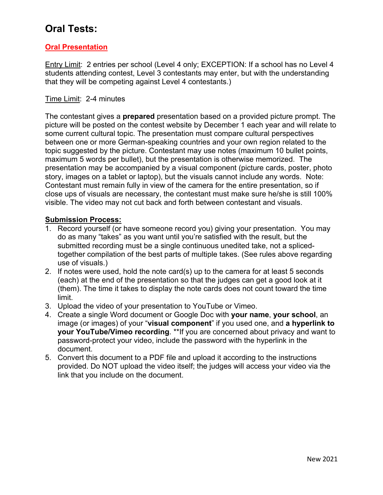# **Oral Tests:**

## **Oral Presentation**

Entry Limit: 2 entries per school (Level 4 only; EXCEPTION: If a school has no Level 4 students attending contest, Level 3 contestants may enter, but with the understanding that they will be competing against Level 4 contestants.)

#### Time Limit: 2-4 minutes

The contestant gives a **prepared** presentation based on a provided picture prompt. The picture will be posted on the contest website by December 1 each year and will relate to some current cultural topic. The presentation must compare cultural perspectives between one or more German-speaking countries and your own region related to the topic suggested by the picture. Contestant may use notes (maximum 10 bullet points, maximum 5 words per bullet), but the presentation is otherwise memorized. The presentation may be accompanied by a visual component (picture cards, poster, photo story, images on a tablet or laptop), but the visuals cannot include any words. Note: Contestant must remain fully in view of the camera for the entire presentation, so if close ups of visuals are necessary, the contestant must make sure he/she is still 100% visible. The video may not cut back and forth between contestant and visuals.

- 1. Record yourself (or have someone record you) giving your presentation. You may do as many "takes" as you want until you're satisfied with the result, but the submitted recording must be a single continuous unedited take, not a splicedtogether compilation of the best parts of multiple takes. (See rules above regarding use of visuals.)
- 2. If notes were used, hold the note card(s) up to the camera for at least 5 seconds (each) at the end of the presentation so that the judges can get a good look at it (them). The time it takes to display the note cards does not count toward the time limit.
- 3. Upload the video of your presentation to YouTube or Vimeo.
- 4. Create a single Word document or Google Doc with **your name**, **your school**, an image (or images) of your "**visual component**" if you used one, and **a hyperlink to your YouTube/Vimeo recording**. \*\*If you are concerned about privacy and want to password-protect your video, include the password with the hyperlink in the document.
- 5. Convert this document to a PDF file and upload it according to the instructions provided. Do NOT upload the video itself; the judges will access your video via the link that you include on the document.